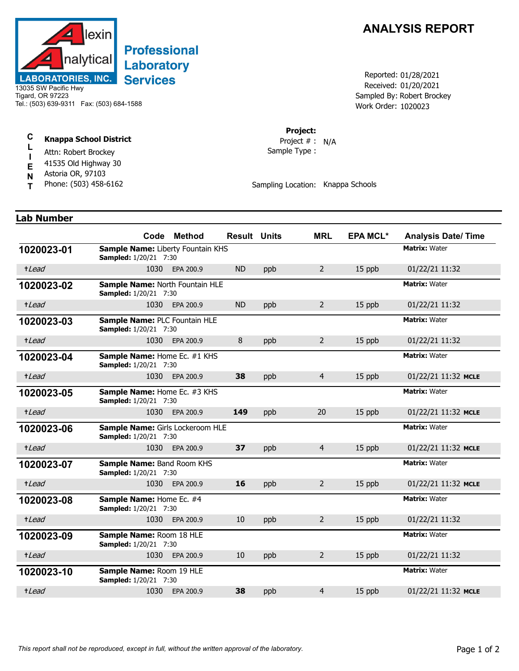

# **Professional Laboratory Services**

13035 SW Pacific Hwy Tigard, OR 97223 Tel.: (503) 639-9311 Fax: (503) 684-1588

#### **C L Knappa School District**

- **I** Attn: Robert Brockey
- **E** 41535 Old Highway 30
- Astoria OR, 97103
- **N T** Phone: (503) 458-6162

## **ANALYSIS REPORT**

Received: 01/20/2021 Work Order: 1020023 Reported: 01/28/2021 Sampled By: Robert Brockey

### **Project:**

Sample Type : Project # : N/A

Sampling Location: Knappa Schools

## **Lab Number**

|            |                                                                   | Code Method    | <b>Result Units</b> |     | <b>MRL</b>     | <b>EPA MCL*</b> | <b>Analysis Date/Time</b> |
|------------|-------------------------------------------------------------------|----------------|---------------------|-----|----------------|-----------------|---------------------------|
| 1020023-01 | Sample Name: Liberty Fountain KHS<br><b>Sampled:</b> 1/20/21 7:30 |                |                     |     |                |                 | <b>Matrix: Water</b>      |
| +Lead      | 1030                                                              | EPA 200.9      | <b>ND</b>           | ppb | $\overline{2}$ | 15 ppb          | 01/22/21 11:32            |
| 1020023-02 | Sample Name: North Fountain HLE<br><b>Sampled:</b> 1/20/21 7:30   |                |                     |     |                |                 | <b>Matrix: Water</b>      |
| +Lead      | 1030                                                              | EPA 200.9      | <b>ND</b>           | ppb | $\overline{2}$ | 15 ppb          | 01/22/21 11:32            |
| 1020023-03 | Sample Name: PLC Fountain HLE<br><b>Sampled:</b> 1/20/21 7:30     |                |                     |     |                |                 | <b>Matrix: Water</b>      |
| +Lead      | 1030                                                              | EPA 200.9      | 8                   | ppb | $2^{\circ}$    | 15 ppb          | 01/22/21 11:32            |
| 1020023-04 | Sample Name: Home Ec. #1 KHS<br><b>Sampled:</b> 1/20/21 7:30      |                |                     |     |                |                 | <b>Matrix: Water</b>      |
| +Lead      | 1030                                                              | EPA 200.9      | 38                  | ppb | $\overline{4}$ | 15 ppb          | 01/22/21 11:32 MCLE       |
| 1020023-05 | Sample Name: Home Ec. #3 KHS<br><b>Sampled:</b> 1/20/21 7:30      |                |                     |     |                |                 | <b>Matrix: Water</b>      |
| +Lead      |                                                                   | 1030 EPA 200.9 | 149                 | ppb | 20             | 15 ppb          | 01/22/21 11:32 MCLE       |
| 1020023-06 | Sample Name: Girls Lockeroom HLE<br><b>Sampled:</b> 1/20/21 7:30  |                |                     |     |                |                 | <b>Matrix: Water</b>      |
| +Lead      | 1030                                                              | EPA 200.9      | 37                  | ppb | $\overline{4}$ | 15 ppb          | 01/22/21 11:32 MCLE       |
| 1020023-07 | Sample Name: Band Room KHS<br><b>Sampled:</b> 1/20/21 7:30        |                |                     |     |                |                 | <b>Matrix: Water</b>      |
| +Lead      | 1030                                                              | EPA 200.9      | 16                  | ppb | $\overline{2}$ | 15 ppb          | 01/22/21 11:32 MCLE       |
| 1020023-08 | Sample Name: Home Ec. #4<br><b>Sampled:</b> 1/20/21 7:30          |                |                     |     |                |                 | <b>Matrix: Water</b>      |
| +Lead      | 1030                                                              | EPA 200.9      | 10                  | ppb | $\overline{2}$ | 15 ppb          | 01/22/21 11:32            |
| 1020023-09 | Sample Name: Room 18 HLE<br><b>Sampled:</b> 1/20/21 7:30          |                |                     |     |                |                 | <b>Matrix: Water</b>      |
| +Lead      | 1030                                                              | EPA 200.9      | 10                  | ppb | $\overline{2}$ | 15 ppb          | 01/22/21 11:32            |
| 1020023-10 | Sample Name: Room 19 HLE<br><b>Sampled:</b> 1/20/21 7:30          |                |                     |     |                |                 | <b>Matrix: Water</b>      |
| +Lead      | 1030                                                              | EPA 200.9      | 38                  | ppb | $\overline{4}$ | 15 ppb          | 01/22/21 11:32 MCLE       |